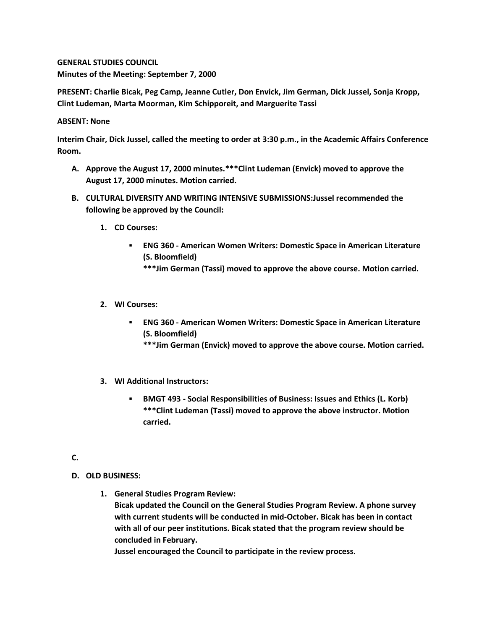**GENERAL STUDIES COUNCIL Minutes of the Meeting: September 7, 2000**

**PRESENT: Charlie Bicak, Peg Camp, Jeanne Cutler, Don Envick, Jim German, Dick Jussel, Sonja Kropp, Clint Ludeman, Marta Moorman, Kim Schipporeit, and Marguerite Tassi**

## **ABSENT: None**

**Interim Chair, Dick Jussel, called the meeting to order at 3:30 p.m., in the Academic Affairs Conference Room.**

- **A. Approve the August 17, 2000 minutes.\*\*\*Clint Ludeman (Envick) moved to approve the August 17, 2000 minutes. Motion carried.**
- **B. CULTURAL DIVERSITY AND WRITING INTENSIVE SUBMISSIONS:Jussel recommended the following be approved by the Council:** 
	- **1. CD Courses:** 
		- **ENG 360 - American Women Writers: Domestic Space in American Literature (S. Bloomfield)**
			- **\*\*\*Jim German (Tassi) moved to approve the above course. Motion carried.**
	- **2. WI Courses:** 
		- **ENG 360 - American Women Writers: Domestic Space in American Literature (S. Bloomfield)**
			- **\*\*\*Jim German (Envick) moved to approve the above course. Motion carried.**
	- **3. WI Additional Instructors:** 
		- **BMGT 493 - Social Responsibilities of Business: Issues and Ethics (L. Korb) \*\*\*Clint Ludeman (Tassi) moved to approve the above instructor. Motion carried.**

## **C.**

- **D. OLD BUSINESS:**
	- **1. General Studies Program Review:**

**Bicak updated the Council on the General Studies Program Review. A phone survey with current students will be conducted in mid-October. Bicak has been in contact with all of our peer institutions. Bicak stated that the program review should be concluded in February.**

**Jussel encouraged the Council to participate in the review process.**